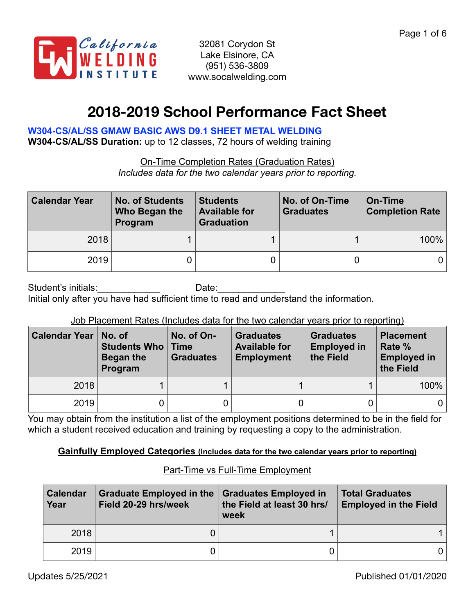

# **2018-2019 School Performance Fact Sheet**

# **W304-CS/AL/SS GMAW BASIC AWS D9.1 SHEET METAL WELDING**

**W304-CS/AL/SS Duration:** up to 12 classes, 72 hours of welding training

On-Time Completion Rates (Graduation Rates) *Includes data for the two calendar years prior to reporting.*

| <b>Calendar Year</b> | <b>No. of Students</b><br>Who Began the<br>Program | <b>Students</b><br><b>Available for</b><br><b>Graduation</b> | No. of On-Time<br><b>Graduates</b> | On-Time<br><b>Completion Rate</b> |  |
|----------------------|----------------------------------------------------|--------------------------------------------------------------|------------------------------------|-----------------------------------|--|
| 2018                 |                                                    |                                                              |                                    | $100\%$                           |  |
| 2019                 |                                                    |                                                              |                                    | 0 I                               |  |

Student's initials: The Date: Date: Initial only after you have had sufficient time to read and understand the information.

## Job Placement Rates (Includes data for the two calendar years prior to reporting)

| <b>Calendar Year</b> | No. of<br><b>Students Who   Time</b><br>Began the<br>Program | No. of On-<br><b>Graduates</b> | <b>Graduates</b><br><b>Available for</b><br><b>Employment</b> | <b>Graduates</b><br><b>Employed in</b><br>the Field | <b>Placement</b><br>Rate %<br><b>Employed in</b><br>the Field |
|----------------------|--------------------------------------------------------------|--------------------------------|---------------------------------------------------------------|-----------------------------------------------------|---------------------------------------------------------------|
| 2018                 |                                                              |                                |                                                               |                                                     | 100%                                                          |
| 2019                 |                                                              |                                |                                                               |                                                     | 0                                                             |

You may obtain from the institution a list of the employment positions determined to be in the field for which a student received education and training by requesting a copy to the administration.

## **Gainfully Employed Categories (Includes data for the two calendar years prior to reporting)**

# Part-Time vs Full-Time Employment

| <b>Calendar</b><br>Year | <b>Graduate Employed in the</b><br>Field 20-29 hrs/week | <b>Graduates Employed in</b><br>the Field at least 30 hrs/<br>week | <b>Total Graduates</b><br><b>Employed in the Field</b> |
|-------------------------|---------------------------------------------------------|--------------------------------------------------------------------|--------------------------------------------------------|
| 2018                    |                                                         |                                                                    |                                                        |
| 2019                    |                                                         |                                                                    |                                                        |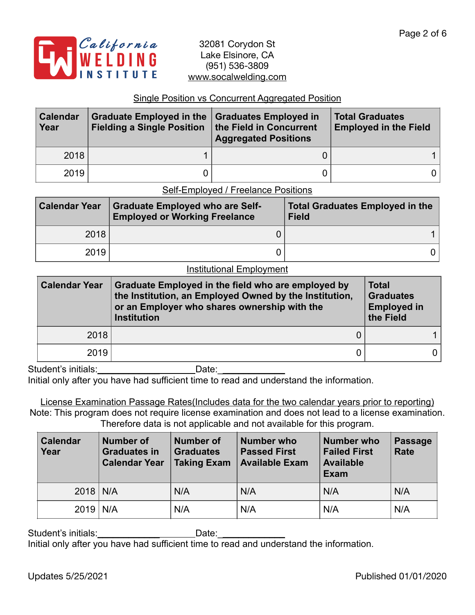

## Single Position vs Concurrent Aggregated Position

| <b>Calendar</b><br>Year | Graduate Employed in the Graduates Employed in<br>Fielding a Single Position   the Field in Concurrent | <b>Aggregated Positions</b> | <b>Total Graduates</b><br><b>Employed in the Field</b> |
|-------------------------|--------------------------------------------------------------------------------------------------------|-----------------------------|--------------------------------------------------------|
| 2018                    |                                                                                                        |                             |                                                        |
| 2019                    |                                                                                                        |                             | 0                                                      |

## Self-Employed / Freelance Positions

| <b>Calendar Year</b> | <b>Graduate Employed who are Self-</b><br><b>Employed or Working Freelance</b> | <b>Total Graduates Employed in the</b><br><b>Field</b> |  |  |
|----------------------|--------------------------------------------------------------------------------|--------------------------------------------------------|--|--|
| 2018                 |                                                                                |                                                        |  |  |
| 2019                 |                                                                                |                                                        |  |  |

#### Institutional Employment

| <b>Calendar Year</b><br>Graduate Employed in the field who are employed by<br>the Institution, an Employed Owned by the Institution,<br>or an Employer who shares ownership with the<br><b>Institution</b> |  | <b>Total</b><br><b>Graduates</b><br><b>Employed in</b><br>the Field |  |
|------------------------------------------------------------------------------------------------------------------------------------------------------------------------------------------------------------|--|---------------------------------------------------------------------|--|
| 2018                                                                                                                                                                                                       |  |                                                                     |  |
| 2019                                                                                                                                                                                                       |  | 0                                                                   |  |

Student's initials:\_\_\_\_\_\_\_\_\_\_\_\_ Date:\_\_\_\_\_\_\_\_\_\_\_\_\_ Initial only after you have had sufficient time to read and understand the information.

License Examination Passage Rates(Includes data for the two calendar years prior to reporting) Note: This program does not require license examination and does not lead to a license examination. Therefore data is not applicable and not available for this program.

| <b>Calendar</b><br>Year | Number of<br><b>Graduates in</b><br><b>Calendar Year</b> | <b>Number of</b><br><b>Graduates</b><br><b>Taking Exam</b> | Number who<br><b>Passed First</b><br><b>Available Exam</b> | <b>Number who</b><br><b>Failed First</b><br><b>Available</b><br><b>Exam</b> | <b>Passage</b><br>Rate |
|-------------------------|----------------------------------------------------------|------------------------------------------------------------|------------------------------------------------------------|-----------------------------------------------------------------------------|------------------------|
| $2018$ N/A              |                                                          | N/A                                                        | N/A                                                        | N/A                                                                         | N/A                    |
| $2019$ N/A              |                                                          | N/A                                                        | N/A                                                        | N/A                                                                         | N/A                    |

Student's initials:\_\_\_\_\_\_\_\_\_\_\_\_ Date:\_\_\_\_\_\_\_\_\_\_\_\_\_ Initial only after you have had sufficient time to read and understand the information.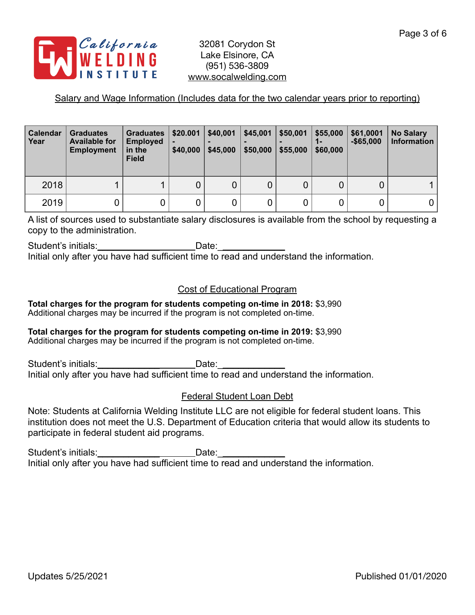

## Salary and Wage Information (Includes data for the two calendar years prior to reporting)

| <b>Calendar</b><br>Year | <b>Graduates</b><br><b>Available for</b><br><b>Employment</b> | Graduates  <br><b>Employed</b><br>in the<br><b>Field</b> | \$20.001<br>\$40,000 | \$40,001<br>\$45,000 | \$45,001<br>\$50,000 | \$50,001<br>\$55,000 | \$55,000<br>1-<br>\$60,000 | \$61,0001<br>$-$ \$65.000 | <b>No Salary</b><br><b>Information</b> |
|-------------------------|---------------------------------------------------------------|----------------------------------------------------------|----------------------|----------------------|----------------------|----------------------|----------------------------|---------------------------|----------------------------------------|
| 2018                    |                                                               |                                                          | 0                    |                      | $\overline{0}$       |                      |                            | 0                         |                                        |
| 2019                    | 0                                                             |                                                          |                      |                      | 0                    |                      |                            |                           | 0                                      |

A list of sources used to substantiate salary disclosures is available from the school by requesting a copy to the administration.

Student's initials:\_\_\_\_\_\_\_\_\_\_\_\_\_\_\_\_\_\_\_\_\_\_\_\_\_\_Date:\_\_\_\_\_\_\_\_\_\_\_\_\_\_\_\_\_\_\_\_\_\_\_\_\_\_\_\_\_\_ Initial only after you have had sufficient time to read and understand the information.

## Cost of Educational Program

**Total charges for the program for students competing on-time in 2018:** \$3,990 Additional charges may be incurred if the program is not completed on-time.

## **Total charges for the program for students competing on-time in 2019:** \$3,990

Additional charges may be incurred if the program is not completed on-time.

Student's initials: example of the Date: Initial only after you have had sufficient time to read and understand the information.

## Federal Student Loan Debt

Note: Students at California Welding Institute LLC are not eligible for federal student loans. This institution does not meet the U.S. Department of Education criteria that would allow its students to participate in federal student aid programs.

Student's initials:\_\_\_\_\_\_\_\_\_\_\_\_\_\_\_\_\_\_\_\_\_\_\_\_\_\_\_\_\_Date: \_\_\_ Initial only after you have had sufficient time to read and understand the information.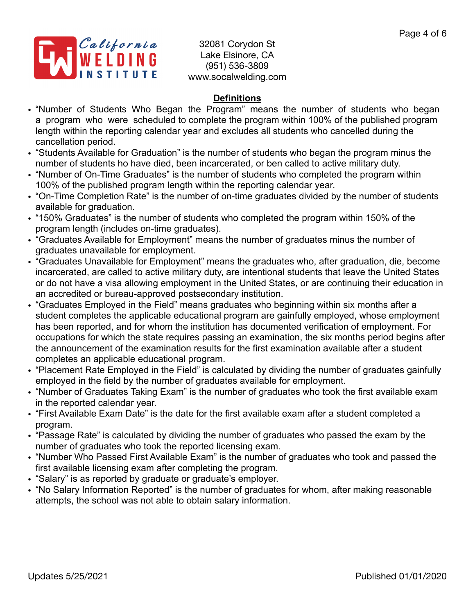

# **Definitions**

- "Number of Students Who Began the Program" means the number of students who began a program who were scheduled to complete the program within 100% of the published program length within the reporting calendar year and excludes all students who cancelled during the cancellation period.
- "Students Available for Graduation" is the number of students who began the program minus the number of students ho have died, been incarcerated, or ben called to active military duty.
- "Number of On-Time Graduates" is the number of students who completed the program within 100% of the published program length within the reporting calendar year.
- "On-Time Completion Rate" is the number of on-time graduates divided by the number of students available for graduation.
- "150% Graduates" is the number of students who completed the program within 150% of the program length (includes on-time graduates).
- "Graduates Available for Employment" means the number of graduates minus the number of graduates unavailable for employment.
- "Graduates Unavailable for Employment" means the graduates who, after graduation, die, become incarcerated, are called to active military duty, are intentional students that leave the United States or do not have a visa allowing employment in the United States, or are continuing their education in an accredited or bureau-approved postsecondary institution.
- "Graduates Employed in the Field" means graduates who beginning within six months after a student completes the applicable educational program are gainfully employed, whose employment has been reported, and for whom the institution has documented verification of employment. For occupations for which the state requires passing an examination, the six months period begins after the announcement of the examination results for the first examination available after a student completes an applicable educational program.
- "Placement Rate Employed in the Field" is calculated by dividing the number of graduates gainfully employed in the field by the number of graduates available for employment.
- "Number of Graduates Taking Exam" is the number of graduates who took the first available exam in the reported calendar year.
- "First Available Exam Date" is the date for the first available exam after a student completed a program.
- "Passage Rate" is calculated by dividing the number of graduates who passed the exam by the number of graduates who took the reported licensing exam.
- "Number Who Passed First Available Exam" is the number of graduates who took and passed the first available licensing exam after completing the program.
- "Salary" is as reported by graduate or graduate's employer.
- "No Salary Information Reported" is the number of graduates for whom, after making reasonable attempts, the school was not able to obtain salary information.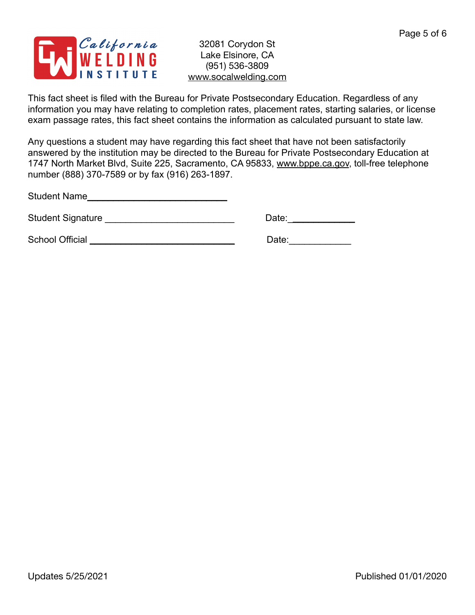

This fact sheet is filed with the Bureau for Private Postsecondary Education. Regardless of any information you may have relating to completion rates, placement rates, starting salaries, or license exam passage rates, this fact sheet contains the information as calculated pursuant to state law.

Any questions a student may have regarding this fact sheet that have not been satisfactorily answered by the institution may be directed to the Bureau for Private Postsecondary Education at 1747 North Market Blvd, Suite 225, Sacramento, CA 95833, [www.bppe.ca.gov](http://www.bppe.ca.gov), toll-free telephone number (888) 370-7589 or by fax (916) 263-1897.

Student Name\_\_\_\_\_\_\_\_\_\_\_\_\_\_\_\_\_\_\_\_\_\_\_\_\_\_\_

Student Signature \_\_\_\_\_\_\_\_\_\_\_\_\_\_\_\_\_\_\_\_\_\_\_\_\_ Date:\_\_\_\_\_\_\_\_\_\_\_\_\_

School Official \_\_\_\_\_\_\_\_\_\_\_\_\_\_\_\_\_\_\_\_\_\_\_\_\_\_\_\_ Date:\_\_\_\_\_\_\_\_\_\_\_\_